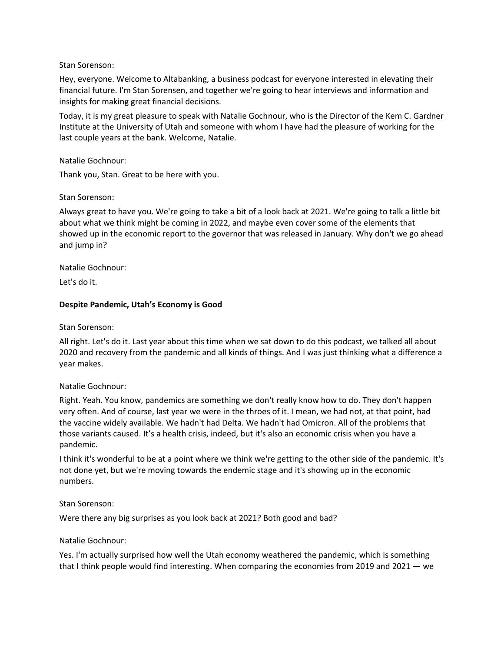Stan Sorenson:

Hey, everyone. Welcome to Altabanking, a business podcast for everyone interested in elevating their financial future. I'm Stan Sorensen, and together we're going to hear interviews and information and insights for making great financial decisions.

Today, it is my great pleasure to speak with Natalie Gochnour, who is the Director of the Kem C. Gardner Institute at the University of Utah and someone with whom I have had the pleasure of working for the last couple years at the bank. Welcome, Natalie.

#### Natalie Gochnour:

Thank you, Stan. Great to be here with you.

#### Stan Sorenson:

Always great to have you. We're going to take a bit of a look back at 2021. We're going to talk a little bit about what we think might be coming in 2022, and maybe even cover some of the elements that showed up in the economic report to the governor that was released in January. Why don't we go ahead and jump in?

Natalie Gochnour:

Let's do it.

## **Despite Pandemic, Utah's Economy is Good**

Stan Sorenson:

All right. Let's do it. Last year about this time when we sat down to do this podcast, we talked all about 2020 and recovery from the pandemic and all kinds of things. And I was just thinking what a difference a year makes.

Natalie Gochnour:

Right. Yeah. You know, pandemics are something we don't really know how to do. They don't happen very often. And of course, last year we were in the throes of it. I mean, we had not, at that point, had the vaccine widely available. We hadn't had Delta. We hadn't had Omicron. All of the problems that those variants caused. It's a health crisis, indeed, but it's also an economic crisis when you have a pandemic.

I think it's wonderful to be at a point where we think we're getting to the other side of the pandemic. It's not done yet, but we're moving towards the endemic stage and it's showing up in the economic numbers.

#### Stan Sorenson:

Were there any big surprises as you look back at 2021? Both good and bad?

#### Natalie Gochnour:

Yes. I'm actually surprised how well the Utah economy weathered the pandemic, which is something that I think people would find interesting. When comparing the economies from 2019 and 2021 — we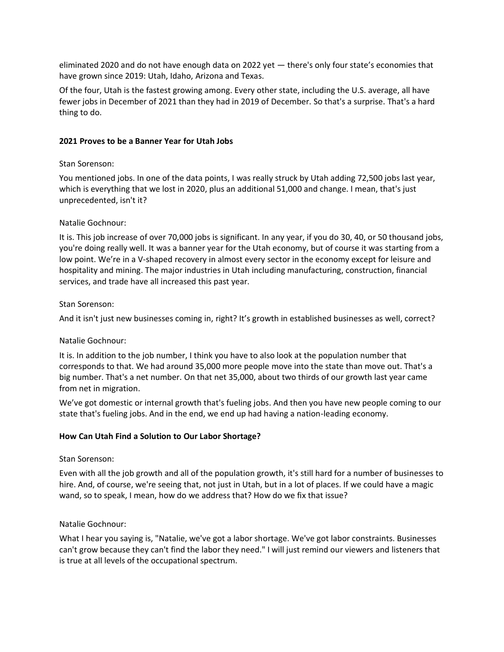eliminated 2020 and do not have enough data on 2022 yet — there's only four state's economies that have grown since 2019: Utah, Idaho, Arizona and Texas.

Of the four, Utah is the fastest growing among. Every other state, including the U.S. average, all have fewer jobs in December of 2021 than they had in 2019 of December. So that's a surprise. That's a hard thing to do.

## **2021 Proves to be a Banner Year for Utah Jobs**

## Stan Sorenson:

You mentioned jobs. In one of the data points, I was really struck by Utah adding 72,500 jobs last year, which is everything that we lost in 2020, plus an additional 51,000 and change. I mean, that's just unprecedented, isn't it?

# Natalie Gochnour:

It is. This job increase of over 70,000 jobs is significant. In any year, if you do 30, 40, or 50 thousand jobs, you're doing really well. It was a banner year for the Utah economy, but of course it was starting from a low point. We're in a V-shaped recovery in almost every sector in the economy except for leisure and hospitality and mining. The major industries in Utah including manufacturing, construction, financial services, and trade have all increased this past year.

# Stan Sorenson:

And it isn't just new businesses coming in, right? It's growth in established businesses as well, correct?

## Natalie Gochnour:

It is. In addition to the job number, I think you have to also look at the population number that corresponds to that. We had around 35,000 more people move into the state than move out. That's a big number. That's a net number. On that net 35,000, about two thirds of our growth last year came from net in migration.

We've got domestic or internal growth that's fueling jobs. And then you have new people coming to our state that's fueling jobs. And in the end, we end up had having a nation-leading economy.

# **How Can Utah Find a Solution to Our Labor Shortage?**

## Stan Sorenson:

Even with all the job growth and all of the population growth, it's still hard for a number of businesses to hire. And, of course, we're seeing that, not just in Utah, but in a lot of places. If we could have a magic wand, so to speak, I mean, how do we address that? How do we fix that issue?

## Natalie Gochnour:

What I hear you saying is, "Natalie, we've got a labor shortage. We've got labor constraints. Businesses can't grow because they can't find the labor they need." I will just remind our viewers and listeners that is true at all levels of the occupational spectrum.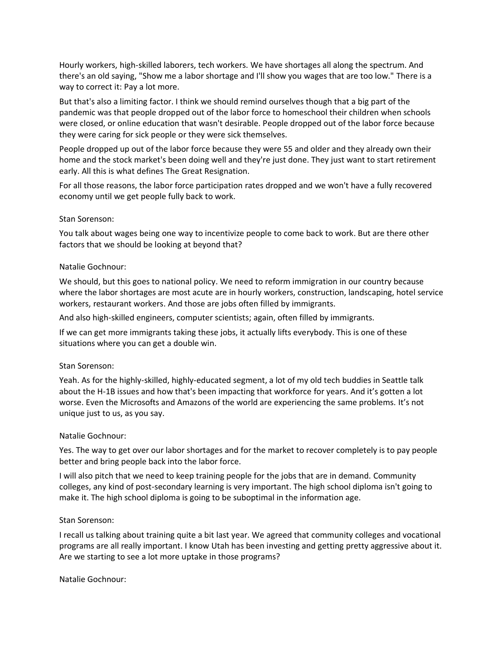Hourly workers, high-skilled laborers, tech workers. We have shortages all along the spectrum. And there's an old saying, "Show me a labor shortage and I'll show you wages that are too low." There is a way to correct it: Pay a lot more.

But that's also a limiting factor. I think we should remind ourselves though that a big part of the pandemic was that people dropped out of the labor force to homeschool their children when schools were closed, or online education that wasn't desirable. People dropped out of the labor force because they were caring for sick people or they were sick themselves.

People dropped up out of the labor force because they were 55 and older and they already own their home and the stock market's been doing well and they're just done. They just want to start retirement early. All this is what defines The Great Resignation.

For all those reasons, the labor force participation rates dropped and we won't have a fully recovered economy until we get people fully back to work.

#### Stan Sorenson:

You talk about wages being one way to incentivize people to come back to work. But are there other factors that we should be looking at beyond that?

#### Natalie Gochnour:

We should, but this goes to national policy. We need to reform immigration in our country because where the labor shortages are most acute are in hourly workers, construction, landscaping, hotel service workers, restaurant workers. And those are jobs often filled by immigrants.

And also high-skilled engineers, computer scientists; again, often filled by immigrants.

If we can get more immigrants taking these jobs, it actually lifts everybody. This is one of these situations where you can get a double win.

#### Stan Sorenson:

Yeah. As for the highly-skilled, highly-educated segment, a lot of my old tech buddies in Seattle talk about the H-1B issues and how that's been impacting that workforce for years. And it's gotten a lot worse. Even the Microsofts and Amazons of the world are experiencing the same problems. It's not unique just to us, as you say.

#### Natalie Gochnour:

Yes. The way to get over our labor shortages and for the market to recover completely is to pay people better and bring people back into the labor force.

I will also pitch that we need to keep training people for the jobs that are in demand. Community colleges, any kind of post-secondary learning is very important. The high school diploma isn't going to make it. The high school diploma is going to be suboptimal in the information age.

#### Stan Sorenson:

I recall us talking about training quite a bit last year. We agreed that community colleges and vocational programs are all really important. I know Utah has been investing and getting pretty aggressive about it. Are we starting to see a lot more uptake in those programs?

Natalie Gochnour: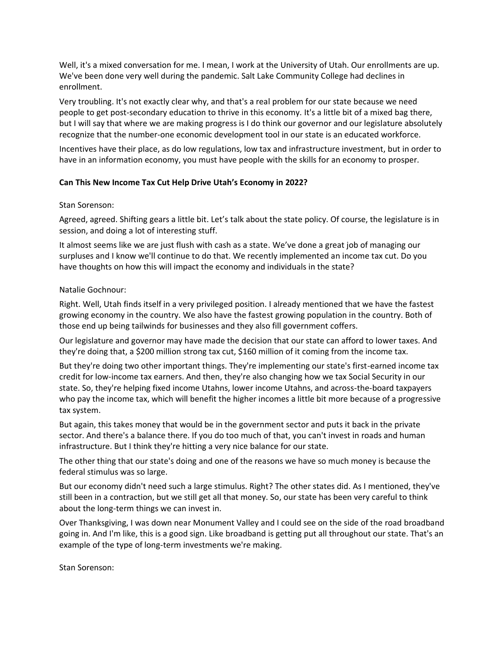Well, it's a mixed conversation for me. I mean, I work at the University of Utah. Our enrollments are up. We've been done very well during the pandemic. Salt Lake Community College had declines in enrollment.

Very troubling. It's not exactly clear why, and that's a real problem for our state because we need people to get post-secondary education to thrive in this economy. It's a little bit of a mixed bag there, but I will say that where we are making progress is I do think our governor and our legislature absolutely recognize that the number-one economic development tool in our state is an educated workforce.

Incentives have their place, as do low regulations, low tax and infrastructure investment, but in order to have in an information economy, you must have people with the skills for an economy to prosper.

## **Can This New Income Tax Cut Help Drive Utah's Economy in 2022?**

## Stan Sorenson:

Agreed, agreed. Shifting gears a little bit. Let's talk about the state policy. Of course, the legislature is in session, and doing a lot of interesting stuff.

It almost seems like we are just flush with cash as a state. We've done a great job of managing our surpluses and I know we'll continue to do that. We recently implemented an income tax cut. Do you have thoughts on how this will impact the economy and individuals in the state?

## Natalie Gochnour:

Right. Well, Utah finds itself in a very privileged position. I already mentioned that we have the fastest growing economy in the country. We also have the fastest growing population in the country. Both of those end up being tailwinds for businesses and they also fill government coffers.

Our legislature and governor may have made the decision that our state can afford to lower taxes. And they're doing that, a \$200 million strong tax cut, \$160 million of it coming from the income tax.

But they're doing two other important things. They're implementing our state's first-earned income tax credit for low-income tax earners. And then, they're also changing how we tax Social Security in our state. So, they're helping fixed income Utahns, lower income Utahns, and across-the-board taxpayers who pay the income tax, which will benefit the higher incomes a little bit more because of a progressive tax system.

But again, this takes money that would be in the government sector and puts it back in the private sector. And there's a balance there. If you do too much of that, you can't invest in roads and human infrastructure. But I think they're hitting a very nice balance for our state.

The other thing that our state's doing and one of the reasons we have so much money is because the federal stimulus was so large.

But our economy didn't need such a large stimulus. Right? The other states did. As I mentioned, they've still been in a contraction, but we still get all that money. So, our state has been very careful to think about the long-term things we can invest in.

Over Thanksgiving, I was down near Monument Valley and I could see on the side of the road broadband going in. And I'm like, this is a good sign. Like broadband is getting put all throughout our state. That's an example of the type of long-term investments we're making.

Stan Sorenson: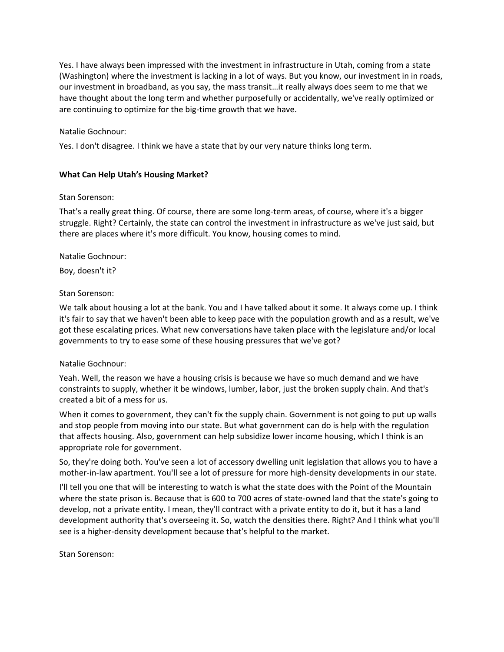Yes. I have always been impressed with the investment in infrastructure in Utah, coming from a state (Washington) where the investment is lacking in a lot of ways. But you know, our investment in in roads, our investment in broadband, as you say, the mass transit…it really always does seem to me that we have thought about the long term and whether purposefully or accidentally, we've really optimized or are continuing to optimize for the big-time growth that we have.

#### Natalie Gochnour:

Yes. I don't disagree. I think we have a state that by our very nature thinks long term.

#### **What Can Help Utah's Housing Market?**

#### Stan Sorenson:

That's a really great thing. Of course, there are some long-term areas, of course, where it's a bigger struggle. Right? Certainly, the state can control the investment in infrastructure as we've just said, but there are places where it's more difficult. You know, housing comes to mind.

#### Natalie Gochnour:

Boy, doesn't it?

#### Stan Sorenson:

We talk about housing a lot at the bank. You and I have talked about it some. It always come up. I think it's fair to say that we haven't been able to keep pace with the population growth and as a result, we've got these escalating prices. What new conversations have taken place with the legislature and/or local governments to try to ease some of these housing pressures that we've got?

#### Natalie Gochnour:

Yeah. Well, the reason we have a housing crisis is because we have so much demand and we have constraints to supply, whether it be windows, lumber, labor, just the broken supply chain. And that's created a bit of a mess for us.

When it comes to government, they can't fix the supply chain. Government is not going to put up walls and stop people from moving into our state. But what government can do is help with the regulation that affects housing. Also, government can help subsidize lower income housing, which I think is an appropriate role for government.

So, they're doing both. You've seen a lot of accessory dwelling unit legislation that allows you to have a mother-in-law apartment. You'll see a lot of pressure for more high-density developments in our state.

I'll tell you one that will be interesting to watch is what the state does with the Point of the Mountain where the state prison is. Because that is 600 to 700 acres of state-owned land that the state's going to develop, not a private entity. I mean, they'll contract with a private entity to do it, but it has a land development authority that's overseeing it. So, watch the densities there. Right? And I think what you'll see is a higher-density development because that's helpful to the market.

Stan Sorenson: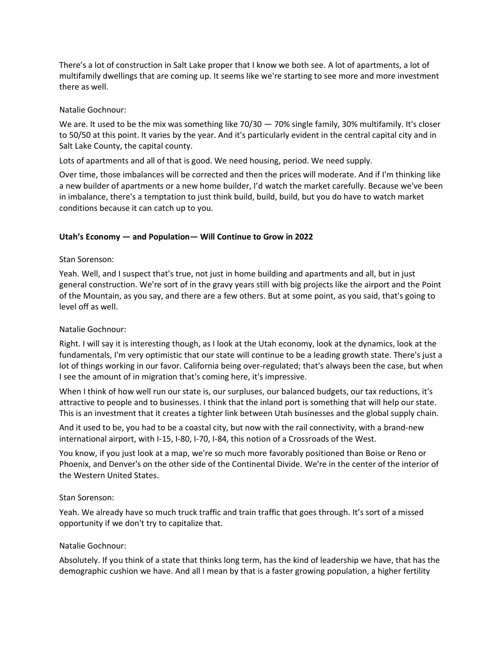There's a lot of construction in Salt Lake proper that I know we both see. A lot of apartments, a lot of multifamily dwellings that are coming up. It seems like we're starting to see more and more investment there as well.

## Natalie Gochnour:

We are. It used to be the mix was something like 70/30 - 70% single family, 30% multifamily. It's closer to 50/50 at this point. It varies by the year. And it's particularly evident in the central capital city and in Salt Lake County, the capital county.

Lots of apartments and all of that is good. We need housing, period. We need supply.

Over time, those imbalances will be corrected and then the prices will moderate. And if I'm thinking like a new builder of apartments or a new home builder, I'd watch the market carefully. Because we've been in imbalance, there's a temptation to just think build, build, build, but you do have to watch market conditions because it can catch up to you.

# **Utah's Economy — and Population— Will Continue to Grow in 2022**

## Stan Sorenson:

Yeah. Well, and I suspect that's true, not just in home building and apartments and all, but in just general construction. We're sort of in the gravy years still with big projects like the airport and the Point of the Mountain, as you say, and there are a few others. But at some point, as you said, that's going to level off as well.

## Natalie Gochnour:

Right. I will say it is interesting though, as I look at the Utah economy, look at the dynamics, look at the fundamentals, I'm very optimistic that our state will continue to be a leading growth state. There's just a lot of things working in our favor. California being over-regulated; that's always been the case, but when I see the amount of in migration that's coming here, it's impressive.

When I think of how well run our state is, our surpluses, our balanced budgets, our tax reductions, it's attractive to people and to businesses. I think that the inland port is something that will help our state. This is an investment that it creates a tighter link between Utah businesses and the global supply chain.

And it used to be, you had to be a coastal city, but now with the rail connectivity, with a brand-new international airport, with I-15, I-80, I-70, I-84, this notion of a Crossroads of the West.

You know, if you just look at a map, we're so much more favorably positioned than Boise or Reno or Phoenix, and Denver's on the other side of the Continental Divide. We're in the center of the interior of the Western United States.

## Stan Sorenson:

Yeah. We already have so much truck traffic and train traffic that goes through. It's sort of a missed opportunity if we don't try to capitalize that.

## Natalie Gochnour:

Absolutely. If you think of a state that thinks long term, has the kind of leadership we have, that has the demographic cushion we have. And all I mean by that is a faster growing population, a higher fertility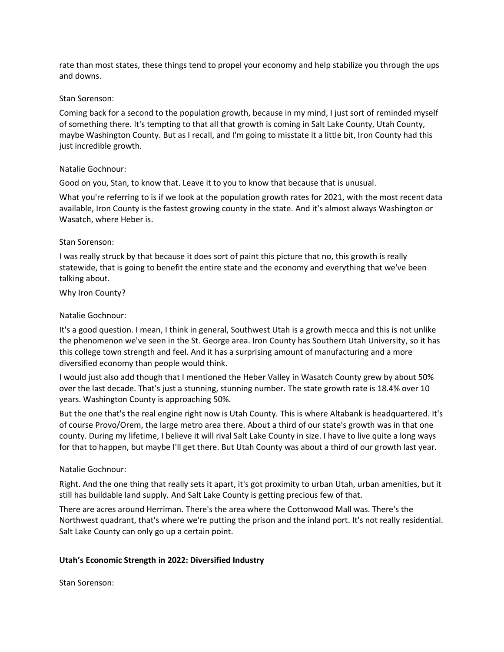rate than most states, these things tend to propel your economy and help stabilize you through the ups and downs.

#### Stan Sorenson:

Coming back for a second to the population growth, because in my mind, I just sort of reminded myself of something there. It's tempting to that all that growth is coming in Salt Lake County, Utah County, maybe Washington County. But as I recall, and I'm going to misstate it a little bit, Iron County had this just incredible growth.

#### Natalie Gochnour:

Good on you, Stan, to know that. Leave it to you to know that because that is unusual.

What you're referring to is if we look at the population growth rates for 2021, with the most recent data available, Iron County is the fastest growing county in the state. And it's almost always Washington or Wasatch, where Heber is.

#### Stan Sorenson:

I was really struck by that because it does sort of paint this picture that no, this growth is really statewide, that is going to benefit the entire state and the economy and everything that we've been talking about.

Why Iron County?

#### Natalie Gochnour:

It's a good question. I mean, I think in general, Southwest Utah is a growth mecca and this is not unlike the phenomenon we've seen in the St. George area. Iron County has Southern Utah University, so it has this college town strength and feel. And it has a surprising amount of manufacturing and a more diversified economy than people would think.

I would just also add though that I mentioned the Heber Valley in Wasatch County grew by about 50% over the last decade. That's just a stunning, stunning number. The state growth rate is 18.4% over 10 years. Washington County is approaching 50%.

But the one that's the real engine right now is Utah County. This is where Altabank is headquartered. It's of course Provo/Orem, the large metro area there. About a third of our state's growth was in that one county. During my lifetime, I believe it will rival Salt Lake County in size. I have to live quite a long ways for that to happen, but maybe I'll get there. But Utah County was about a third of our growth last year.

## Natalie Gochnour:

Right. And the one thing that really sets it apart, it's got proximity to urban Utah, urban amenities, but it still has buildable land supply. And Salt Lake County is getting precious few of that.

There are acres around Herriman. There's the area where the Cottonwood Mall was. There's the Northwest quadrant, that's where we're putting the prison and the inland port. It's not really residential. Salt Lake County can only go up a certain point.

## **Utah's Economic Strength in 2022: Diversified Industry**

Stan Sorenson: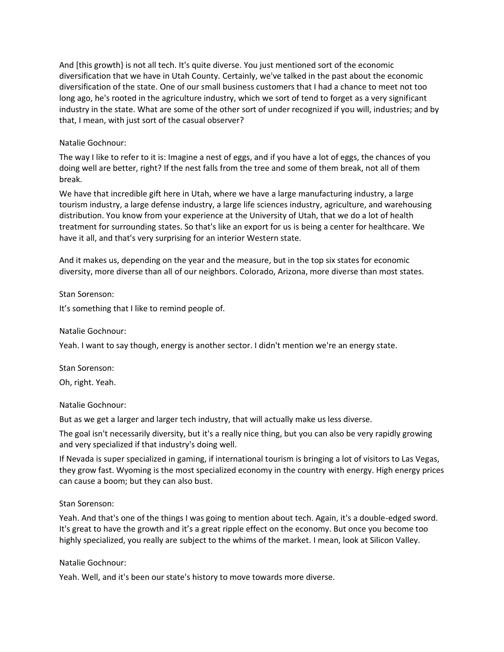And [this growth} is not all tech. It's quite diverse. You just mentioned sort of the economic diversification that we have in Utah County. Certainly, we've talked in the past about the economic diversification of the state. One of our small business customers that I had a chance to meet not too long ago, he's rooted in the agriculture industry, which we sort of tend to forget as a very significant industry in the state. What are some of the other sort of under recognized if you will, industries; and by that, I mean, with just sort of the casual observer?

## Natalie Gochnour:

The way I like to refer to it is: Imagine a nest of eggs, and if you have a lot of eggs, the chances of you doing well are better, right? If the nest falls from the tree and some of them break, not all of them break.

We have that incredible gift here in Utah, where we have a large manufacturing industry, a large tourism industry, a large defense industry, a large life sciences industry, agriculture, and warehousing distribution. You know from your experience at the University of Utah, that we do a lot of health treatment for surrounding states. So that's like an export for us is being a center for healthcare. We have it all, and that's very surprising for an interior Western state.

And it makes us, depending on the year and the measure, but in the top six states for economic diversity, more diverse than all of our neighbors. Colorado, Arizona, more diverse than most states.

## Stan Sorenson:

It's something that I like to remind people of.

## Natalie Gochnour:

Yeah. I want to say though, energy is another sector. I didn't mention we're an energy state.

# Stan Sorenson:

Oh, right. Yeah.

## Natalie Gochnour:

But as we get a larger and larger tech industry, that will actually make us less diverse.

The goal isn't necessarily diversity, but it's a really nice thing, but you can also be very rapidly growing and very specialized if that industry's doing well.

If Nevada is super specialized in gaming, if international tourism is bringing a lot of visitors to Las Vegas, they grow fast. Wyoming is the most specialized economy in the country with energy. High energy prices can cause a boom; but they can also bust.

## Stan Sorenson:

Yeah. And that's one of the things I was going to mention about tech. Again, it's a double-edged sword. It's great to have the growth and it's a great ripple effect on the economy. But once you become too highly specialized, you really are subject to the whims of the market. I mean, look at Silicon Valley.

## Natalie Gochnour:

Yeah. Well, and it's been our state's history to move towards more diverse.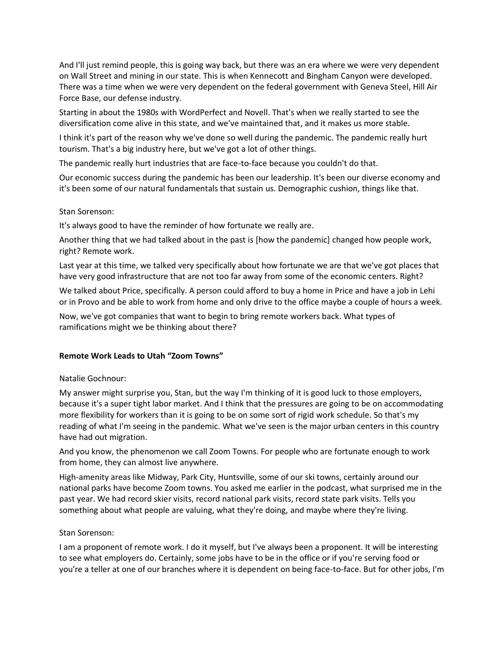And I'll just remind people, this is going way back, but there was an era where we were very dependent on Wall Street and mining in our state. This is when Kennecott and Bingham Canyon were developed. There was a time when we were very dependent on the federal government with Geneva Steel, Hill Air Force Base, our defense industry.

Starting in about the 1980s with WordPerfect and Novell. That's when we really started to see the diversification come alive in this state, and we've maintained that, and it makes us more stable.

I think it's part of the reason why we've done so well during the pandemic. The pandemic really hurt tourism. That's a big industry here, but we've got a lot of other things.

The pandemic really hurt industries that are face-to-face because you couldn't do that.

Our economic success during the pandemic has been our leadership. It's been our diverse economy and it's been some of our natural fundamentals that sustain us. Demographic cushion, things like that.

## Stan Sorenson:

It's always good to have the reminder of how fortunate we really are.

Another thing that we had talked about in the past is [how the pandemic] changed how people work, right? Remote work.

Last year at this time, we talked very specifically about how fortunate we are that we've got places that have very good infrastructure that are not too far away from some of the economic centers. Right?

We talked about Price, specifically. A person could afford to buy a home in Price and have a job in Lehi or in Provo and be able to work from home and only drive to the office maybe a couple of hours a week.

Now, we've got companies that want to begin to bring remote workers back. What types of ramifications might we be thinking about there?

# **Remote Work Leads to Utah "Zoom Towns"**

## Natalie Gochnour:

My answer might surprise you, Stan, but the way I'm thinking of it is good luck to those employers, because it's a super tight labor market. And I think that the pressures are going to be on accommodating more flexibility for workers than it is going to be on some sort of rigid work schedule. So that's my reading of what I'm seeing in the pandemic. What we've seen is the major urban centers in this country have had out migration.

And you know, the phenomenon we call Zoom Towns. For people who are fortunate enough to work from home, they can almost live anywhere.

High-amenity areas like Midway, Park City, Huntsville, some of our ski towns, certainly around our national parks have become Zoom towns. You asked me earlier in the podcast, what surprised me in the past year. We had record skier visits, record national park visits, record state park visits. Tells you something about what people are valuing, what they're doing, and maybe where they're living.

## Stan Sorenson:

I am a proponent of remote work. I do it myself, but I've always been a proponent. It will be interesting to see what employers do. Certainly, some jobs have to be in the office or if you're serving food or you're a teller at one of our branches where it is dependent on being face-to-face. But for other jobs, I'm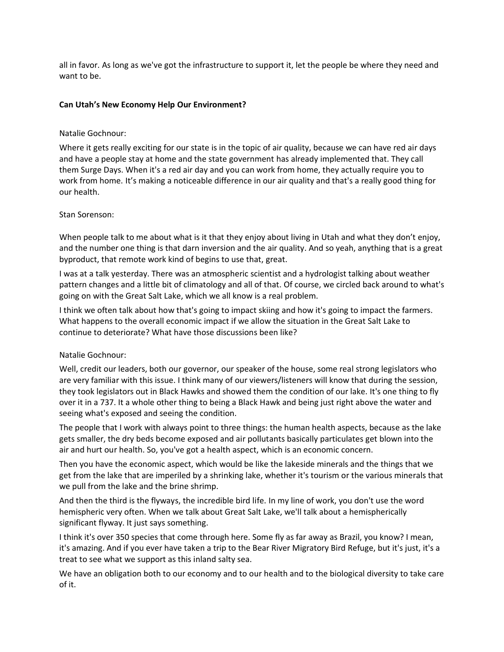all in favor. As long as we've got the infrastructure to support it, let the people be where they need and want to be.

## **Can Utah's New Economy Help Our Environment?**

## Natalie Gochnour:

Where it gets really exciting for our state is in the topic of air quality, because we can have red air days and have a people stay at home and the state government has already implemented that. They call them Surge Days. When it's a red air day and you can work from home, they actually require you to work from home. It's making a noticeable difference in our air quality and that's a really good thing for our health.

## Stan Sorenson:

When people talk to me about what is it that they enjoy about living in Utah and what they don't enjoy, and the number one thing is that darn inversion and the air quality. And so yeah, anything that is a great byproduct, that remote work kind of begins to use that, great.

I was at a talk yesterday. There was an atmospheric scientist and a hydrologist talking about weather pattern changes and a little bit of climatology and all of that. Of course, we circled back around to what's going on with the Great Salt Lake, which we all know is a real problem.

I think we often talk about how that's going to impact skiing and how it's going to impact the farmers. What happens to the overall economic impact if we allow the situation in the Great Salt Lake to continue to deteriorate? What have those discussions been like?

# Natalie Gochnour:

Well, credit our leaders, both our governor, our speaker of the house, some real strong legislators who are very familiar with this issue. I think many of our viewers/listeners will know that during the session, they took legislators out in Black Hawks and showed them the condition of our lake. It's one thing to fly over it in a 737. It a whole other thing to being a Black Hawk and being just right above the water and seeing what's exposed and seeing the condition.

The people that I work with always point to three things: the human health aspects, because as the lake gets smaller, the dry beds become exposed and air pollutants basically particulates get blown into the air and hurt our health. So, you've got a health aspect, which is an economic concern.

Then you have the economic aspect, which would be like the lakeside minerals and the things that we get from the lake that are imperiled by a shrinking lake, whether it's tourism or the various minerals that we pull from the lake and the brine shrimp.

And then the third is the flyways, the incredible bird life. In my line of work, you don't use the word hemispheric very often. When we talk about Great Salt Lake, we'll talk about a hemispherically significant flyway. It just says something.

I think it's over 350 species that come through here. Some fly as far away as Brazil, you know? I mean, it's amazing. And if you ever have taken a trip to the Bear River Migratory Bird Refuge, but it's just, it's a treat to see what we support as this inland salty sea.

We have an obligation both to our economy and to our health and to the biological diversity to take care of it.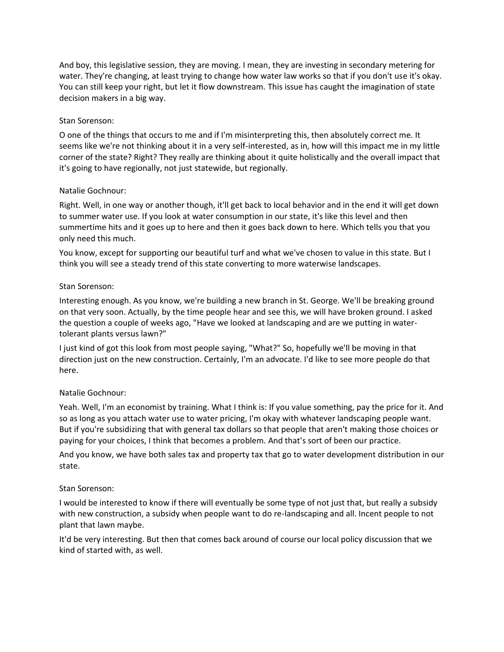And boy, this legislative session, they are moving. I mean, they are investing in secondary metering for water. They're changing, at least trying to change how water law works so that if you don't use it's okay. You can still keep your right, but let it flow downstream. This issue has caught the imagination of state decision makers in a big way.

# Stan Sorenson:

O one of the things that occurs to me and if I'm misinterpreting this, then absolutely correct me. It seems like we're not thinking about it in a very self-interested, as in, how will this impact me in my little corner of the state? Right? They really are thinking about it quite holistically and the overall impact that it's going to have regionally, not just statewide, but regionally.

# Natalie Gochnour:

Right. Well, in one way or another though, it'll get back to local behavior and in the end it will get down to summer water use. If you look at water consumption in our state, it's like this level and then summertime hits and it goes up to here and then it goes back down to here. Which tells you that you only need this much.

You know, except for supporting our beautiful turf and what we've chosen to value in this state. But I think you will see a steady trend of this state converting to more waterwise landscapes.

# Stan Sorenson:

Interesting enough. As you know, we're building a new branch in St. George. We'll be breaking ground on that very soon. Actually, by the time people hear and see this, we will have broken ground. I asked the question a couple of weeks ago, "Have we looked at landscaping and are we putting in watertolerant plants versus lawn?"

I just kind of got this look from most people saying, "What?" So, hopefully we'll be moving in that direction just on the new construction. Certainly, I'm an advocate. I'd like to see more people do that here.

# Natalie Gochnour:

Yeah. Well, I'm an economist by training. What I think is: If you value something, pay the price for it. And so as long as you attach water use to water pricing, I'm okay with whatever landscaping people want. But if you're subsidizing that with general tax dollars so that people that aren't making those choices or paying for your choices, I think that becomes a problem. And that's sort of been our practice.

And you know, we have both sales tax and property tax that go to water development distribution in our state.

## Stan Sorenson:

I would be interested to know if there will eventually be some type of not just that, but really a subsidy with new construction, a subsidy when people want to do re-landscaping and all. Incent people to not plant that lawn maybe.

It'd be very interesting. But then that comes back around of course our local policy discussion that we kind of started with, as well.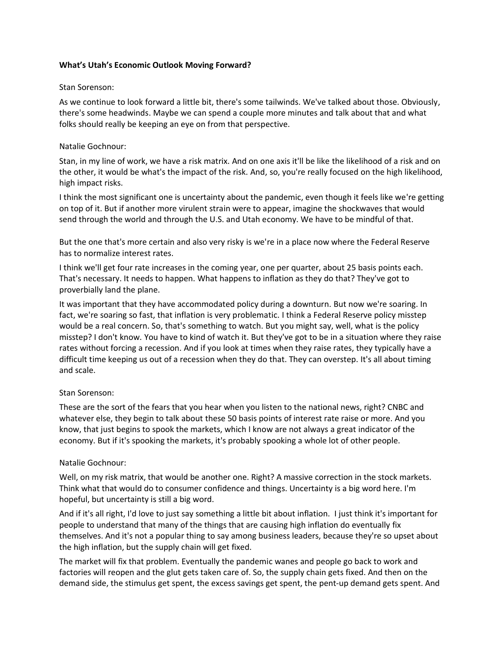#### **What's Utah's Economic Outlook Moving Forward?**

#### Stan Sorenson:

As we continue to look forward a little bit, there's some tailwinds. We've talked about those. Obviously, there's some headwinds. Maybe we can spend a couple more minutes and talk about that and what folks should really be keeping an eye on from that perspective.

## Natalie Gochnour:

Stan, in my line of work, we have a risk matrix. And on one axis it'll be like the likelihood of a risk and on the other, it would be what's the impact of the risk. And, so, you're really focused on the high likelihood, high impact risks.

I think the most significant one is uncertainty about the pandemic, even though it feels like we're getting on top of it. But if another more virulent strain were to appear, imagine the shockwaves that would send through the world and through the U.S. and Utah economy. We have to be mindful of that.

But the one that's more certain and also very risky is we're in a place now where the Federal Reserve has to normalize interest rates.

I think we'll get four rate increases in the coming year, one per quarter, about 25 basis points each. That's necessary. It needs to happen. What happens to inflation as they do that? They've got to proverbially land the plane.

It was important that they have accommodated policy during a downturn. But now we're soaring. In fact, we're soaring so fast, that inflation is very problematic. I think a Federal Reserve policy misstep would be a real concern. So, that's something to watch. But you might say, well, what is the policy misstep? I don't know. You have to kind of watch it. But they've got to be in a situation where they raise rates without forcing a recession. And if you look at times when they raise rates, they typically have a difficult time keeping us out of a recession when they do that. They can overstep. It's all about timing and scale.

## Stan Sorenson:

These are the sort of the fears that you hear when you listen to the national news, right? CNBC and whatever else, they begin to talk about these 50 basis points of interest rate raise or more. And you know, that just begins to spook the markets, which I know are not always a great indicator of the economy. But if it's spooking the markets, it's probably spooking a whole lot of other people.

## Natalie Gochnour:

Well, on my risk matrix, that would be another one. Right? A massive correction in the stock markets. Think what that would do to consumer confidence and things. Uncertainty is a big word here. I'm hopeful, but uncertainty is still a big word.

And if it's all right, I'd love to just say something a little bit about inflation. I just think it's important for people to understand that many of the things that are causing high inflation do eventually fix themselves. And it's not a popular thing to say among business leaders, because they're so upset about the high inflation, but the supply chain will get fixed.

The market will fix that problem. Eventually the pandemic wanes and people go back to work and factories will reopen and the glut gets taken care of. So, the supply chain gets fixed. And then on the demand side, the stimulus get spent, the excess savings get spent, the pent-up demand gets spent. And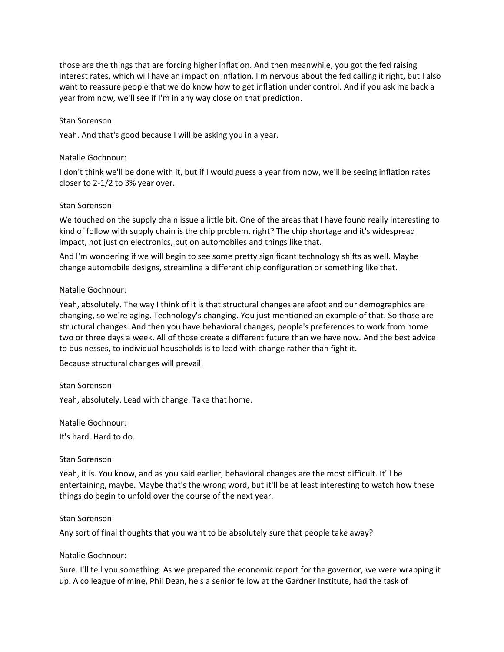those are the things that are forcing higher inflation. And then meanwhile, you got the fed raising interest rates, which will have an impact on inflation. I'm nervous about the fed calling it right, but I also want to reassure people that we do know how to get inflation under control. And if you ask me back a year from now, we'll see if I'm in any way close on that prediction.

#### Stan Sorenson:

Yeah. And that's good because I will be asking you in a year.

#### Natalie Gochnour:

I don't think we'll be done with it, but if I would guess a year from now, we'll be seeing inflation rates closer to 2-1/2 to 3% year over.

#### Stan Sorenson:

We touched on the supply chain issue a little bit. One of the areas that I have found really interesting to kind of follow with supply chain is the chip problem, right? The chip shortage and it's widespread impact, not just on electronics, but on automobiles and things like that.

And I'm wondering if we will begin to see some pretty significant technology shifts as well. Maybe change automobile designs, streamline a different chip configuration or something like that.

#### Natalie Gochnour:

Yeah, absolutely. The way I think of it is that structural changes are afoot and our demographics are changing, so we're aging. Technology's changing. You just mentioned an example of that. So those are structural changes. And then you have behavioral changes, people's preferences to work from home two or three days a week. All of those create a different future than we have now. And the best advice to businesses, to individual households is to lead with change rather than fight it.

Because structural changes will prevail.

Stan Sorenson:

Yeah, absolutely. Lead with change. Take that home.

Natalie Gochnour:

It's hard. Hard to do.

#### Stan Sorenson:

Yeah, it is. You know, and as you said earlier, behavioral changes are the most difficult. It'll be entertaining, maybe. Maybe that's the wrong word, but it'll be at least interesting to watch how these things do begin to unfold over the course of the next year.

#### Stan Sorenson:

Any sort of final thoughts that you want to be absolutely sure that people take away?

#### Natalie Gochnour:

Sure. I'll tell you something. As we prepared the economic report for the governor, we were wrapping it up. A colleague of mine, Phil Dean, he's a senior fellow at the Gardner Institute, had the task of